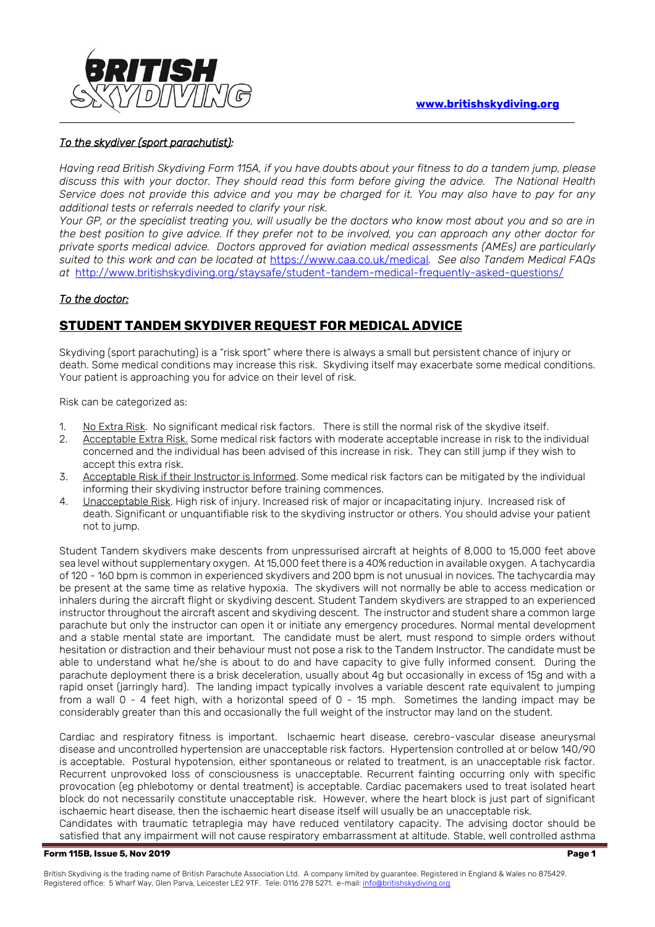

### *To the skydiver (sport parachutist):*

*Having read British Skydiving Form 115A, if you have doubts about your fitness to do a tandem jump, please discuss this with your doctor. They should read this form before giving the advice. The National Health Service does not provide this advice and you may be charged for it. You may also have to pay for any additional tests or referrals needed to clarify your risk.* 

*Your GP, or the specialist treating you, will usually be the doctors who know most about you and so are in the best position to give advice. If they prefer not to be involved, you can approach any other doctor for private sports medical advice. Doctors approved for aviation medical assessments (AMEs) are particularly suited to this work and can be located at* <https://www.caa.co.uk/medical>*. See also Tandem Medical FAQs at* <http://www.britishskydiving.org/staysafe/student-tandem-medical-frequently-asked-questions/>

## *To the doctor:*

# **STUDENT TANDEM SKYDIVER REQUEST FOR MEDICAL ADVICE**

Skydiving (sport parachuting) is a "risk sport" where there is always a small but persistent chance of injury or death. Some medical conditions may increase this risk. Skydiving itself may exacerbate some medical conditions. Your patient is approaching you for advice on their level of risk.

Risk can be categorized as:

- 1. No Extra Risk. No significant medical risk factors. There is still the normal risk of the skydive itself.<br>2. Acceptable Extra Risk. Some medical risk factors with moderate acceptable increase in risk to the in
- Acceptable Extra Risk. Some medical risk factors with moderate acceptable increase in risk to the individual concerned and the individual has been advised of this increase in risk. They can still jump if they wish to accept this extra risk.
- 3. Acceptable Risk if their Instructor is Informed. Some medical risk factors can be mitigated by the individual informing their skydiving instructor before training commences.
- 4. Unacceptable Risk. High risk of injury. Increased risk of major or incapacitating injury. Increased risk of death. Significant or unquantifiable risk to the skydiving instructor or others. You should advise your patient not to jump.

Student Tandem skydivers make descents from unpressurised aircraft at heights of 8,000 to 15,000 feet above sea level without supplementary oxygen. At 15,000 feet there is a 40% reduction in available oxygen. A tachycardia of 120 - 160 bpm is common in experienced skydivers and 200 bpm is not unusual in novices. The tachycardia may be present at the same time as relative hypoxia. The skydivers will not normally be able to access medication or inhalers during the aircraft flight or skydiving descent. Student Tandem skydivers are strapped to an experienced instructor throughout the aircraft ascent and skydiving descent. The instructor and student share a common large parachute but only the instructor can open it or initiate any emergency procedures. Normal mental development and a stable mental state are important. The candidate must be alert, must respond to simple orders without hesitation or distraction and their behaviour must not pose a risk to the Tandem Instructor. The candidate must be able to understand what he/she is about to do and have capacity to give fully informed consent. During the parachute deployment there is a brisk deceleration, usually about 4g but occasionally in excess of 15g and with a rapid onset (jarringly hard). The landing impact typically involves a variable descent rate equivalent to jumping from a wall 0 - 4 feet high, with a horizontal speed of 0 - 15 mph. Sometimes the landing impact may be considerably greater than this and occasionally the full weight of the instructor may land on the student.

Cardiac and respiratory fitness is important. Ischaemic heart disease, cerebro-vascular disease aneurysmal disease and uncontrolled hypertension are unacceptable risk factors. Hypertension controlled at or below 140/90 is acceptable. Postural hypotension, either spontaneous or related to treatment, is an unacceptable risk factor. Recurrent unprovoked loss of consciousness is unacceptable. Recurrent fainting occurring only with specific provocation (eg phlebotomy or dental treatment) is acceptable. Cardiac pacemakers used to treat isolated heart block do not necessarily constitute unacceptable risk. However, where the heart block is just part of significant ischaemic heart disease, then the ischaemic heart disease itself will usually be an unacceptable risk.

Candidates with traumatic tetraplegia may have reduced ventilatory capacity. The advising doctor should be satisfied that any impairment will not cause respiratory embarrassment at altitude. Stable, well controlled asthma

#### **Form 115B, Issue 5, Nov 2019 Page 1**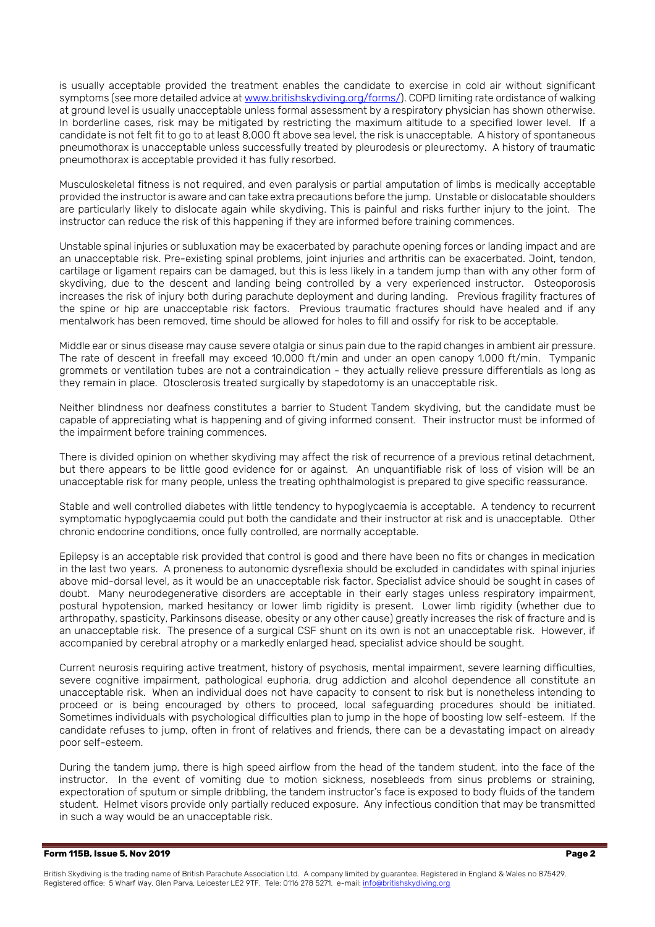is usually acceptable provided the treatment enables the candidate to exercise in cold air without significant symptoms (see more detailed advice a[t www.britishskydiving.org/forms/\)](http://www.britishskydiving.org/forms/). COPD limiting rate ordistance of walking at ground level is usually unacceptable unless formal assessment by a respiratory physician has shown otherwise. In borderline cases, risk may be mitigated by restricting the maximum altitude to a specified lower level. If a candidate is not felt fit to go to at least 8,000 ft above sea level, the risk is unacceptable. A history of spontaneous pneumothorax is unacceptable unless successfully treated by pleurodesis or pleurectomy. A history of traumatic pneumothorax is acceptable provided it has fully resorbed.

Musculoskeletal fitness is not required, and even paralysis or partial amputation of limbs is medically acceptable provided the instructor is aware and can take extra precautions before the jump. Unstable or dislocatable shoulders are particularly likely to dislocate again while skydiving. This is painful and risks further injury to the joint. The instructor can reduce the risk of this happening if they are informed before training commences.

Unstable spinal injuries or subluxation may be exacerbated by parachute opening forces or landing impact and are an unacceptable risk. Pre-existing spinal problems, joint injuries and arthritis can be exacerbated. Joint, tendon, cartilage or ligament repairs can be damaged, but this is less likely in a tandem jump than with any other form of skydiving, due to the descent and landing being controlled by a very experienced instructor. Osteoporosis increases the risk of injury both during parachute deployment and during landing. Previous fragility fractures of the spine or hip are unacceptable risk factors. Previous traumatic fractures should have healed and if any mentalwork has been removed, time should be allowed for holes to fill and ossify for risk to be acceptable.

Middle ear or sinus disease may cause severe otalgia or sinus pain due to the rapid changes in ambient air pressure. The rate of descent in freefall may exceed 10,000 ft/min and under an open canopy 1,000 ft/min. Tympanic grommets or ventilation tubes are not a contraindication - they actually relieve pressure differentials as long as they remain in place. Otosclerosis treated surgically by stapedotomy is an unacceptable risk.

Neither blindness nor deafness constitutes a barrier to Student Tandem skydiving, but the candidate must be capable of appreciating what is happening and of giving informed consent. Their instructor must be informed of the impairment before training commences.

There is divided opinion on whether skydiving may affect the risk of recurrence of a previous retinal detachment, but there appears to be little good evidence for or against. An unquantifiable risk of loss of vision will be an unacceptable risk for many people, unless the treating ophthalmologist is prepared to give specific reassurance.

Stable and well controlled diabetes with little tendency to hypoglycaemia is acceptable. A tendency to recurrent symptomatic hypoglycaemia could put both the candidate and their instructor at risk and is unacceptable. Other chronic endocrine conditions, once fully controlled, are normally acceptable.

Epilepsy is an acceptable risk provided that control is good and there have been no fits or changes in medication in the last two years. A proneness to autonomic dysreflexia should be excluded in candidates with spinal injuries above mid-dorsal level, as it would be an unacceptable risk factor. Specialist advice should be sought in cases of doubt. Many neurodegenerative disorders are acceptable in their early stages unless respiratory impairment, postural hypotension, marked hesitancy or lower limb rigidity is present. Lower limb rigidity (whether due to arthropathy, spasticity, Parkinsons disease, obesity or any other cause) greatly increases the risk of fracture and is an unacceptable risk. The presence of a surgical CSF shunt on its own is not an unacceptable risk. However, if accompanied by cerebral atrophy or a markedly enlarged head, specialist advice should be sought.

Current neurosis requiring active treatment, history of psychosis, mental impairment, severe learning difficulties, severe cognitive impairment, pathological euphoria, drug addiction and alcohol dependence all constitute an unacceptable risk. When an individual does not have capacity to consent to risk but is nonetheless intending to proceed or is being encouraged by others to proceed, local safeguarding procedures should be initiated. Sometimes individuals with psychological difficulties plan to jump in the hope of boosting low self-esteem. If the candidate refuses to jump, often in front of relatives and friends, there can be a devastating impact on already poor self-esteem.

During the tandem jump, there is high speed airflow from the head of the tandem student, into the face of the instructor. In the event of vomiting due to motion sickness, nosebleeds from sinus problems or straining, expectoration of sputum or simple dribbling, the tandem instructor's face is exposed to body fluids of the tandem student. Helmet visors provide only partially reduced exposure. Any infectious condition that may be transmitted in such a way would be an unacceptable risk.

#### **Form 115B, Issue 5, Nov 2019 Page 2**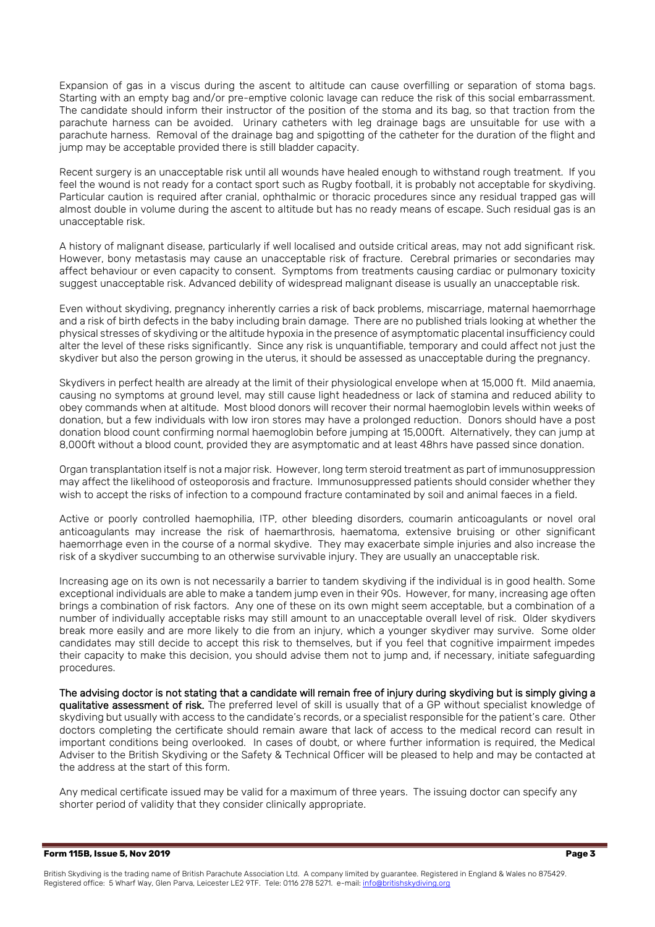Expansion of gas in a viscus during the ascent to altitude can cause overfilling or separation of stoma bags. Starting with an empty bag and/or pre-emptive colonic lavage can reduce the risk of this social embarrassment. The candidate should inform their instructor of the position of the stoma and its bag, so that traction from the parachute harness can be avoided. Urinary catheters with leg drainage bags are unsuitable for use with a parachute harness. Removal of the drainage bag and spigotting of the catheter for the duration of the flight and jump may be acceptable provided there is still bladder capacity.

Recent surgery is an unacceptable risk until all wounds have healed enough to withstand rough treatment. If you feel the wound is not ready for a contact sport such as Rugby football, it is probably not acceptable for skydiving. Particular caution is required after cranial, ophthalmic or thoracic procedures since any residual trapped gas will almost double in volume during the ascent to altitude but has no ready means of escape. Such residual gas is an unacceptable risk.

A history of malignant disease, particularly if well localised and outside critical areas, may not add significant risk. However, bony metastasis may cause an unacceptable risk of fracture. Cerebral primaries or secondaries may affect behaviour or even capacity to consent. Symptoms from treatments causing cardiac or pulmonary toxicity suggest unacceptable risk. Advanced debility of widespread malignant disease is usually an unacceptable risk.

Even without skydiving, pregnancy inherently carries a risk of back problems, miscarriage, maternal haemorrhage and a risk of birth defects in the baby including brain damage. There are no published trials looking at whether the physical stresses of skydiving or the altitude hypoxia in the presence of asymptomatic placental insufficiency could alter the level of these risks significantly. Since any risk is unquantifiable, temporary and could affect not just the skydiver but also the person growing in the uterus, it should be assessed as unacceptable during the pregnancy.

Skydivers in perfect health are already at the limit of their physiological envelope when at 15,000 ft. Mild anaemia, causing no symptoms at ground level, may still cause light headedness or lack of stamina and reduced ability to obey commands when at altitude. Most blood donors will recover their normal haemoglobin levels within weeks of donation, but a few individuals with low iron stores may have a prolonged reduction. Donors should have a post donation blood count confirming normal haemoglobin before jumping at 15,000ft. Alternatively, they can jump at 8,000ft without a blood count, provided they are asymptomatic and at least 48hrs have passed since donation.

Organ transplantation itself is not a major risk. However, long term steroid treatment as part of immunosuppression may affect the likelihood of osteoporosis and fracture. Immunosuppressed patients should consider whether they wish to accept the risks of infection to a compound fracture contaminated by soil and animal faeces in a field.

Active or poorly controlled haemophilia, ITP, other bleeding disorders, coumarin anticoagulants or novel oral anticoagulants may increase the risk of haemarthrosis, haematoma, extensive bruising or other significant haemorrhage even in the course of a normal skydive. They may exacerbate simple injuries and also increase the risk of a skydiver succumbing to an otherwise survivable injury. They are usually an unacceptable risk.

Increasing age on its own is not necessarily a barrier to tandem skydiving if the individual is in good health. Some exceptional individuals are able to make a tandem jump even in their 90s. However, for many, increasing age often brings a combination of risk factors. Any one of these on its own might seem acceptable, but a combination of a number of individually acceptable risks may still amount to an unacceptable overall level of risk. Older skydivers break more easily and are more likely to die from an injury, which a younger skydiver may survive. Some older candidates may still decide to accept this risk to themselves, but if you feel that cognitive impairment impedes their capacity to make this decision, you should advise them not to jump and, if necessary, initiate safeguarding procedures.

The advising doctor is not stating that a candidate will remain free of injury during skydiving but is simply giving a qualitative assessment of risk. The preferred level of skill is usually that of a GP without specialist knowledge of skydiving but usually with access to the candidate's records, or a specialist responsible for the patient's care. Other doctors completing the certificate should remain aware that lack of access to the medical record can result in important conditions being overlooked. In cases of doubt, or where further information is required, the Medical Adviser to the British Skydiving or the Safety & Technical Officer will be pleased to help and may be contacted at the address at the start of this form.

Any medical certificate issued may be valid for a maximum of three years. The issuing doctor can specify any shorter period of validity that they consider clinically appropriate.

#### **Form 115B, Issue 5, Nov 2019 Page 3**

British Skydiving is the trading name of British Parachute Association Ltd. A company limited by guarantee. Registered in England & Wales no 875429. Registered office: 5 Wharf Way, Glen Parva, Leicester LE2 9TF. Tele: 0116 278 5271. e-mail: info@britishskydiving.org